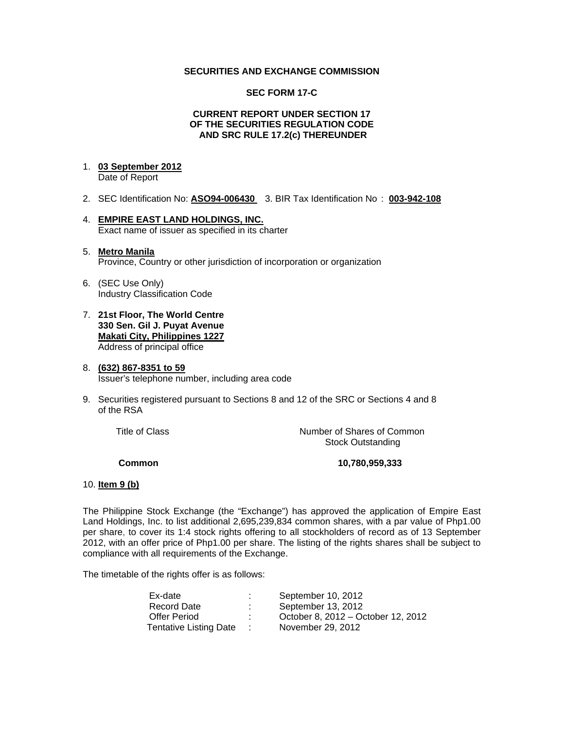### **SECURITIES AND EXCHANGE COMMISSION**

#### **SEC FORM 17-C**

#### **CURRENT REPORT UNDER SECTION 17 OF THE SECURITIES REGULATION CODE AND SRC RULE 17.2(c) THEREUNDER**

## 1. **03 September 2012**

Date of Report

- 2. SEC Identification No: **ASO94-006430** 3. BIR Tax Identification No : **003-942-108**
- 4. **EMPIRE EAST LAND HOLDINGS, INC.** Exact name of issuer as specified in its charter
- 5. **Metro Manila** Province, Country or other jurisdiction of incorporation or organization
- 6. (SEC Use Only) Industry Classification Code
- 7. **21st Floor, The World Centre 330 Sen. Gil J. Puyat Avenue Makati City, Philippines 1227** Address of principal office
- 8. **(632) 867-8351 to 59** Issuer's telephone number, including area code
- 9. Securities registered pursuant to Sections 8 and 12 of the SRC or Sections 4 and 8 of the RSA

 Title of ClassNumber of Shares of Common Stock Outstanding

**Common 10,780,959,333** 

#### 10. **Item 9 (b)**

The Philippine Stock Exchange (the "Exchange") has approved the application of Empire East Land Holdings, Inc. to list additional 2,695,239,834 common shares, with a par value of Php1.00 per share, to cover its 1:4 stock rights offering to all stockholders of record as of 13 September 2012, with an offer price of Php1.00 per share. The listing of the rights shares shall be subject to compliance with all requirements of the Exchange.

The timetable of the rights offer is as follows:

| Ex-date                       | September 10, 2012                 |
|-------------------------------|------------------------------------|
| Record Date                   | September 13, 2012                 |
| Offer Period                  | October 8, 2012 – October 12, 2012 |
| <b>Tentative Listing Date</b> | November 29, 2012                  |